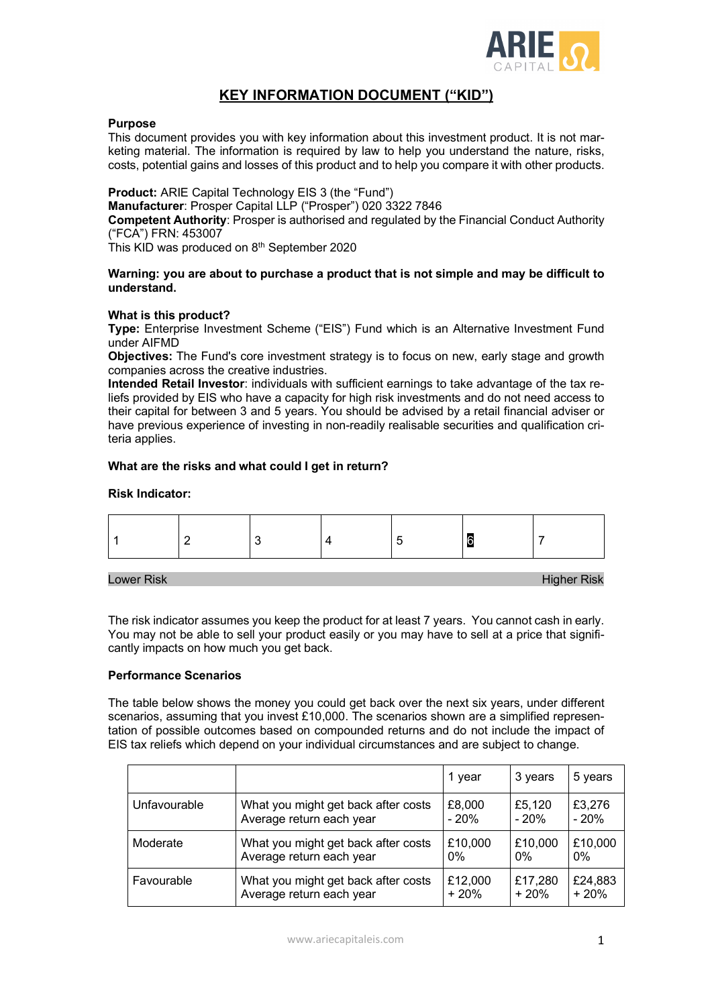

# **KEY INFORMATION DOCUMENT ("KID")**

## **Purpose**

This document provides you with key information about this investment product. It is not marketing material. The information is required by law to help you understand the nature, risks, costs, potential gains and losses of this product and to help you compare it with other products.

**Product:** ARIE Capital Technology EIS 3 (the "Fund")

**Manufacturer**: Prosper Capital LLP ("Prosper") 020 3322 7846

**Competent Authority**: Prosper is authorised and regulated by the Financial Conduct Authority ("FCA") FRN: 453007

This KID was produced on 8<sup>th</sup> September 2020

#### **Warning: you are about to purchase a product that is not simple and may be difficult to understand.**

#### **What is this product?**

**Type:** Enterprise Investment Scheme ("EIS") Fund which is an Alternative Investment Fund under AIFMD

**Objectives:** The Fund's core investment strategy is to focus on new, early stage and growth companies across the creative industries.

**Intended Retail Investor**: individuals with sufficient earnings to take advantage of the tax reliefs provided by EIS who have a capacity for high risk investments and do not need access to their capital for between 3 and 5 years. You should be advised by a retail financial adviser or have previous experience of investing in non-readily realisable securities and qualification criteria applies.

#### **What are the risks and what could I get in return?**

#### **Risk Indicator:**



#### Lower Risk Higher Risk

The risk indicator assumes you keep the product for at least 7 years. You cannot cash in early. You may not be able to sell your product easily or you may have to sell at a price that significantly impacts on how much you get back.

## **Performance Scenarios**

The table below shows the money you could get back over the next six years, under different scenarios, assuming that you invest £10,000. The scenarios shown are a simplified representation of possible outcomes based on compounded returns and do not include the impact of EIS tax reliefs which depend on your individual circumstances and are subject to change.

|              |                                     | 1 year  | 3 years | 5 years |
|--------------|-------------------------------------|---------|---------|---------|
| Unfavourable | What you might get back after costs | £8,000  | £5,120  | £3,276  |
|              | Average return each year            | $-20%$  | $-20%$  | $-20%$  |
| Moderate     | What you might get back after costs | £10,000 | £10,000 | £10,000 |
|              | Average return each year            | $0\%$   | $0\%$   | $0\%$   |
| Favourable   | What you might get back after costs | £12,000 | £17,280 | £24,883 |
|              | Average return each year            | $+20%$  | $+20%$  | $+20%$  |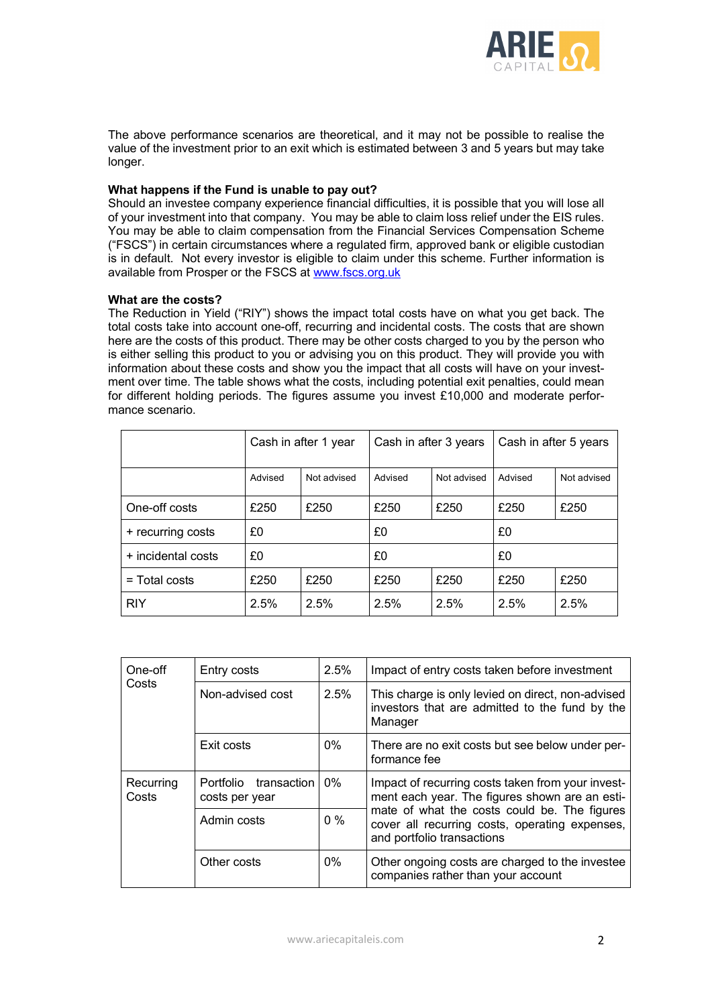

The above performance scenarios are theoretical, and it may not be possible to realise the value of the investment prior to an exit which is estimated between 3 and 5 years but may take longer.

# **What happens if the Fund is unable to pay out?**

Should an investee company experience financial difficulties, it is possible that you will lose all of your investment into that company. You may be able to claim loss relief under the EIS rules. You may be able to claim compensation from the Financial Services Compensation Scheme ("FSCS") in certain circumstances where a regulated firm, approved bank or eligible custodian is in default. Not every investor is eligible to claim under this scheme. Further information is available from Prosper or the FSCS at www.fscs.org.uk

## **What are the costs?**

The Reduction in Yield ("RIY") shows the impact total costs have on what you get back. The total costs take into account one-off, recurring and incidental costs. The costs that are shown here are the costs of this product. There may be other costs charged to you by the person who is either selling this product to you or advising you on this product. They will provide you with information about these costs and show you the impact that all costs will have on your investment over time. The table shows what the costs, including potential exit penalties, could mean for different holding periods. The figures assume you invest £10,000 and moderate performance scenario.

|                    | Cash in after 1 year |             | Cash in after 3 years |             | Cash in after 5 years |             |
|--------------------|----------------------|-------------|-----------------------|-------------|-----------------------|-------------|
|                    | Advised              | Not advised | Advised               | Not advised | Advised               | Not advised |
| One-off costs      | £250                 | £250        | £250                  | £250        | £250                  | £250        |
| + recurring costs  | £0                   |             | £0                    |             | £0                    |             |
| + incidental costs | £0                   |             | £0                    |             | £0                    |             |
| $=$ Total costs    | £250                 | £250        | £250                  | £250        | £250                  | £250        |
| <b>RIY</b>         | 2.5%                 | 2.5%        | 2.5%                  | 2.5%        | 2.5%                  | 2.5%        |

| One-off<br>Costs   | Entry costs                             | 2.5%  | Impact of entry costs taken before investment                                                                                |  |  |
|--------------------|-----------------------------------------|-------|------------------------------------------------------------------------------------------------------------------------------|--|--|
|                    | Non-advised cost                        | 2.5%  | This charge is only levied on direct, non-advised<br>investors that are admitted to the fund by the<br>Manager               |  |  |
|                    | Exit costs                              | $0\%$ | There are no exit costs but see below under per-<br>formance fee                                                             |  |  |
| Recurring<br>Costs | Portfolio transaction<br>costs per year | $0\%$ | Impact of recurring costs taken from your invest-<br>ment each year. The figures shown are an esti-                          |  |  |
|                    | Admin costs                             | $0\%$ | mate of what the costs could be. The figures<br>cover all recurring costs, operating expenses,<br>and portfolio transactions |  |  |
|                    | Other costs                             | $0\%$ | Other ongoing costs are charged to the investee<br>companies rather than your account                                        |  |  |